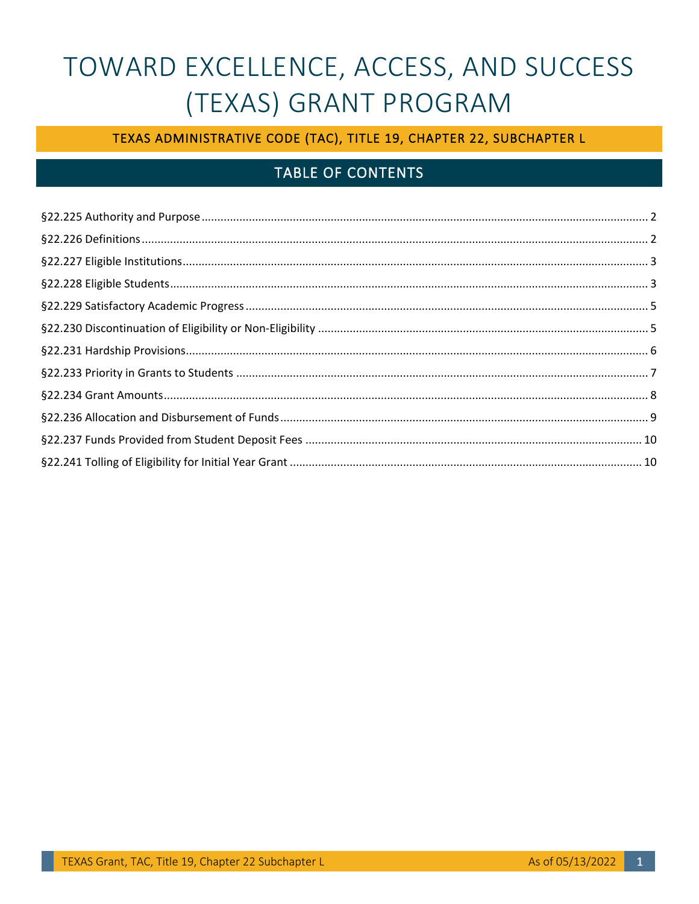# TOWARD EXCELLENCE, ACCESS, AND SUCCESS (TEXAS) GRANT PROGRAM

## TEXAS ADMINISTRATIVE CODE (TAC), TITLE 19, CHAPTER 22, SUBCHAPTER L

# **TABLE OF CONTENTS**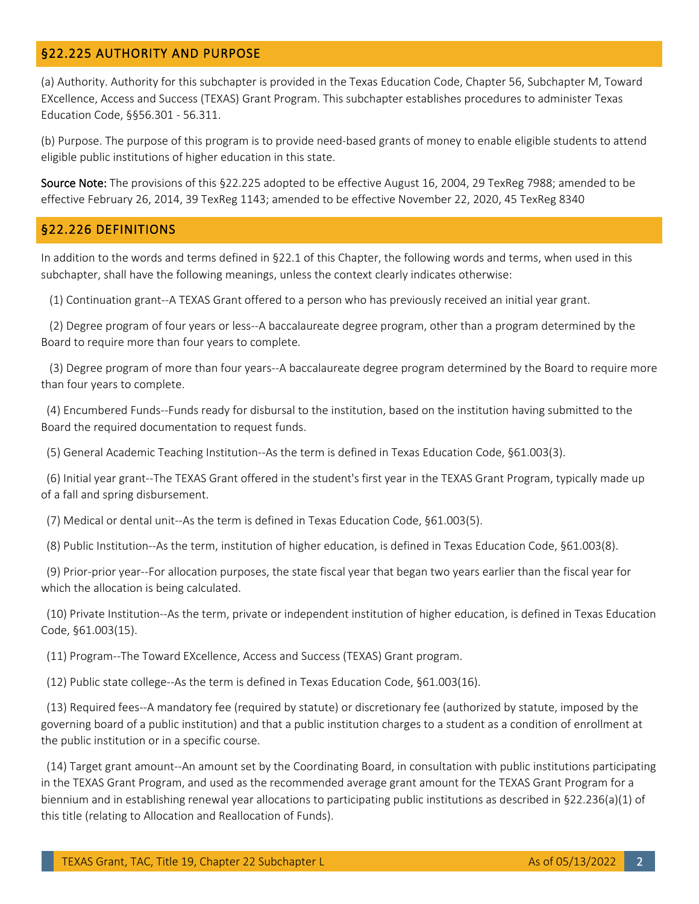#### <span id="page-1-0"></span>§22.225 AUTHORITY AND PURPOSE

(a) Authority. Authority for this subchapter is provided in the Texas Education Code, Chapter 56, Subchapter M, Toward EXcellence, Access and Success (TEXAS) Grant Program. This subchapter establishes procedures to administer Texas Education Code, §§56.301 - 56.311.

(b) Purpose. The purpose of this program is to provide need-based grants of money to enable eligible students to attend eligible public institutions of higher education in this state.

Source Note: The provisions of this §22.225 adopted to be effective August 16, 2004, 29 TexReg 7988; amended to be effective February 26, 2014, 39 TexReg 1143; amended to be effective November 22, 2020, 45 TexReg 8340

#### <span id="page-1-1"></span>§22.226 DEFINITIONS

In addition to the words and terms defined in §22.1 of this Chapter, the following words and terms, when used in this subchapter, shall have the following meanings, unless the context clearly indicates otherwise:

(1) Continuation grant--A TEXAS Grant offered to a person who has previously received an initial year grant.

(2) Degree program of four years or less--A baccalaureate degree program, other than a program determined by the Board to require more than four years to complete.

(3) Degree program of more than four years--A baccalaureate degree program determined by the Board to require more than four years to complete.

 (4) Encumbered Funds--Funds ready for disbursal to the institution, based on the institution having submitted to the Board the required documentation to request funds.

(5) General Academic Teaching Institution--As the term is defined in Texas Education Code, §61.003(3).

 (6) Initial year grant--The TEXAS Grant offered in the student's first year in the TEXAS Grant Program, typically made up of a fall and spring disbursement.

(7) Medical or dental unit--As the term is defined in Texas Education Code, §61.003(5).

(8) Public Institution--As the term, institution of higher education, is defined in Texas Education Code, §61.003(8).

(9) Prior-prior year--For allocation purposes, the state fiscal year that began two years earlier than the fiscal year for which the allocation is being calculated.

(10) Private Institution--As the term, private or independent institution of higher education, is defined in Texas Education Code, §61.003(15).

(11) Program--The Toward EXcellence, Access and Success (TEXAS) Grant program.

(12) Public state college--As the term is defined in Texas Education Code, §61.003(16).

(13) Required fees--A mandatory fee (required by statute) or discretionary fee (authorized by statute, imposed by the governing board of a public institution) and that a public institution charges to a student as a condition of enrollment at the public institution or in a specific course.

(14) Target grant amount--An amount set by the Coordinating Board, in consultation with public institutions participating in the TEXAS Grant Program, and used as the recommended average grant amount for the TEXAS Grant Program for a biennium and in establishing renewal year allocations to participating public institutions as described in §22.236(a)(1) of this title (relating to Allocation and Reallocation of Funds).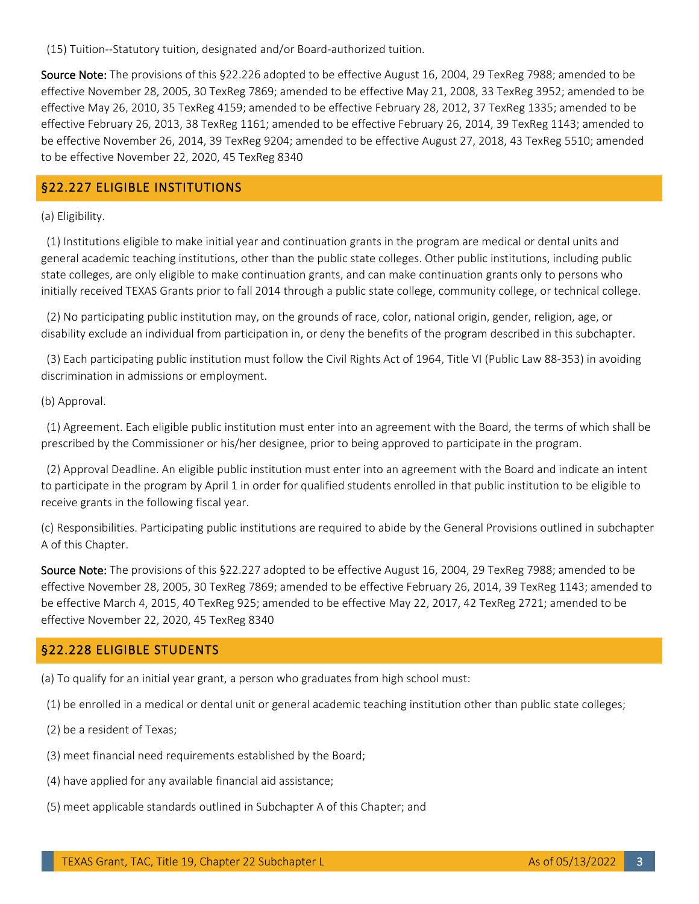(15) Tuition--Statutory tuition, designated and/or Board-authorized tuition.

Source Note: The provisions of this §22.226 adopted to be effective August 16, 2004, 29 TexReg 7988; amended to be effective November 28, 2005, 30 TexReg 7869; amended to be effective May 21, 2008, 33 TexReg 3952; amended to be effective May 26, 2010, 35 TexReg 4159; amended to be effective February 28, 2012, 37 TexReg 1335; amended to be effective February 26, 2013, 38 TexReg 1161; amended to be effective February 26, 2014, 39 TexReg 1143; amended to be effective November 26, 2014, 39 TexReg 9204; amended to be effective August 27, 2018, 43 TexReg 5510; amended to be effective November 22, 2020, 45 TexReg 8340

#### <span id="page-2-0"></span>§22.227 ELIGIBLE INSTITUTIONS

(a) Eligibility.

(1) Institutions eligible to make initial year and continuation grants in the program are medical or dental units and general academic teaching institutions, other than the public state colleges. Other public institutions, including public state colleges, are only eligible to make continuation grants, and can make continuation grants only to persons who initially received TEXAS Grants prior to fall 2014 through a public state college, community college, or technical college.

(2) No participating public institution may, on the grounds of race, color, national origin, gender, religion, age, or disability exclude an individual from participation in, or deny the benefits of the program described in this subchapter.

(3) Each participating public institution must follow the Civil Rights Act of 1964, Title VI (Public Law 88-353) in avoiding discrimination in admissions or employment.

(b) Approval.

(1) Agreement. Each eligible public institution must enter into an agreement with the Board, the terms of which shall be prescribed by the Commissioner or his/her designee, prior to being approved to participate in the program.

 (2) Approval Deadline. An eligible public institution must enter into an agreement with the Board and indicate an intent to participate in the program by April 1 in order for qualified students enrolled in that public institution to be eligible to receive grants in the following fiscal year.

(c) Responsibilities. Participating public institutions are required to abide by the General Provisions outlined in subchapter A of this Chapter.

Source Note: The provisions of this §22.227 adopted to be effective August 16, 2004, 29 TexReg 7988; amended to be effective November 28, 2005, 30 TexReg 7869; amended to be effective February 26, 2014, 39 TexReg 1143; amended to be effective March 4, 2015, 40 TexReg 925; amended to be effective May 22, 2017, 42 TexReg 2721; amended to be effective November 22, 2020, 45 TexReg 8340

#### <span id="page-2-1"></span>§22.228 ELIGIBLE STUDENTS

(a) To qualify for an initial year grant, a person who graduates from high school must:

(1) be enrolled in a medical or dental unit or general academic teaching institution other than public state colleges;

(2) be a resident of Texas;

- (3) meet financial need requirements established by the Board;
- (4) have applied for any available financial aid assistance;
- (5) meet applicable standards outlined in Subchapter A of this Chapter; and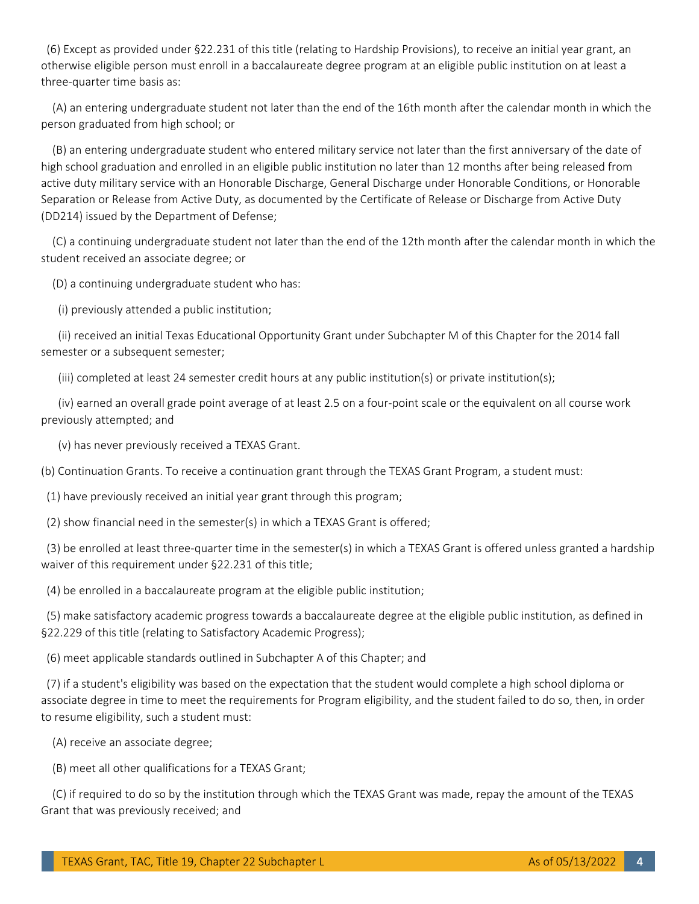(6) Except as provided under §22.231 of this title (relating to Hardship Provisions), to receive an initial year grant, an otherwise eligible person must enroll in a baccalaureate degree program at an eligible public institution on at least a three-quarter time basis as:

(A) an entering undergraduate student not later than the end of the 16th month after the calendar month in which the person graduated from high school; or

(B) an entering undergraduate student who entered military service not later than the first anniversary of the date of high school graduation and enrolled in an eligible public institution no later than 12 months after being released from active duty military service with an Honorable Discharge, General Discharge under Honorable Conditions, or Honorable Separation or Release from Active Duty, as documented by the Certificate of Release or Discharge from Active Duty (DD214) issued by the Department of Defense;

(C) a continuing undergraduate student not later than the end of the 12th month after the calendar month in which the student received an associate degree; or

(D) a continuing undergraduate student who has:

(i) previously attended a public institution;

(ii) received an initial Texas Educational Opportunity Grant under Subchapter M of this Chapter for the 2014 fall semester or a subsequent semester;

(iii) completed at least 24 semester credit hours at any public institution(s) or private institution(s);

(iv) earned an overall grade point average of at least 2.5 on a four-point scale or the equivalent on all course work previously attempted; and

(v) has never previously received a TEXAS Grant.

(b) Continuation Grants. To receive a continuation grant through the TEXAS Grant Program, a student must:

(1) have previously received an initial year grant through this program;

(2) show financial need in the semester(s) in which a TEXAS Grant is offered;

(3) be enrolled at least three-quarter time in the semester(s) in which a TEXAS Grant is offered unless granted a hardship waiver of this requirement under §22.231 of this title;

(4) be enrolled in a baccalaureate program at the eligible public institution;

(5) make satisfactory academic progress towards a baccalaureate degree at the eligible public institution, as defined in §22.229 of this title (relating to Satisfactory Academic Progress);

(6) meet applicable standards outlined in Subchapter A of this Chapter; and

(7) if a student's eligibility was based on the expectation that the student would complete a high school diploma or associate degree in time to meet the requirements for Program eligibility, and the student failed to do so, then, in order to resume eligibility, such a student must:

(A) receive an associate degree;

(B) meet all other qualifications for a TEXAS Grant;

(C) if required to do so by the institution through which the TEXAS Grant was made, repay the amount of the TEXAS Grant that was previously received; and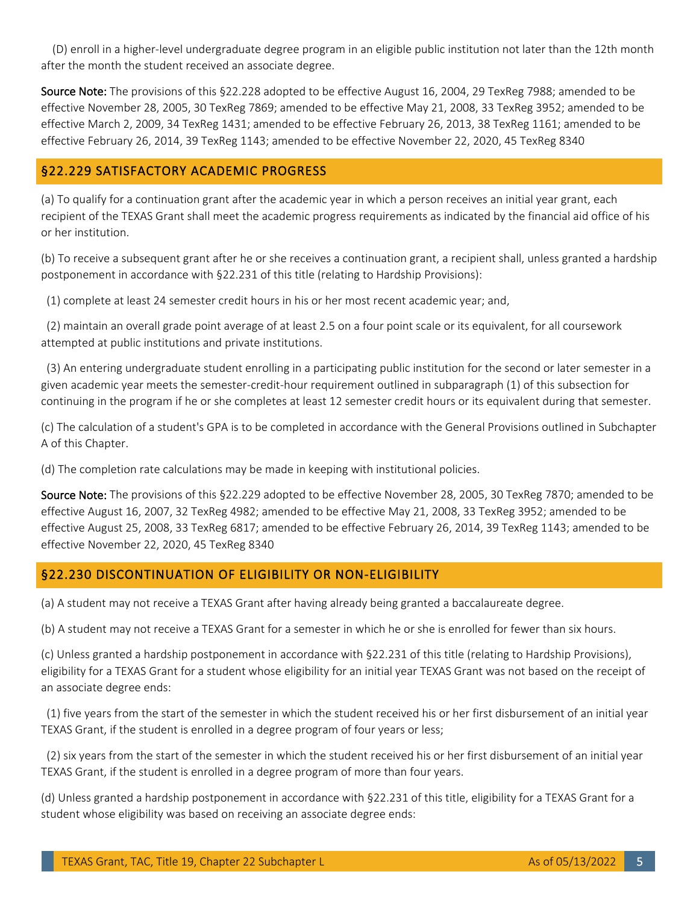(D) enroll in a higher-level undergraduate degree program in an eligible public institution not later than the 12th month after the month the student received an associate degree.

Source Note: The provisions of this §22.228 adopted to be effective August 16, 2004, 29 TexReg 7988; amended to be effective November 28, 2005, 30 TexReg 7869; amended to be effective May 21, 2008, 33 TexReg 3952; amended to be effective March 2, 2009, 34 TexReg 1431; amended to be effective February 26, 2013, 38 TexReg 1161; amended to be effective February 26, 2014, 39 TexReg 1143; amended to be effective November 22, 2020, 45 TexReg 8340

#### <span id="page-4-0"></span>§22.229 SATISFACTORY ACADEMIC PROGRESS

(a) To qualify for a continuation grant after the academic year in which a person receives an initial year grant, each recipient of the TEXAS Grant shall meet the academic progress requirements as indicated by the financial aid office of his or her institution.

(b) To receive a subsequent grant after he or she receives a continuation grant, a recipient shall, unless granted a hardship postponement in accordance with §22.231 of this title (relating to Hardship Provisions):

(1) complete at least 24 semester credit hours in his or her most recent academic year; and,

(2) maintain an overall grade point average of at least 2.5 on a four point scale or its equivalent, for all coursework attempted at public institutions and private institutions.

 (3) An entering undergraduate student enrolling in a participating public institution for the second or later semester in a given academic year meets the semester-credit-hour requirement outlined in subparagraph (1) of this subsection for continuing in the program if he or she completes at least 12 semester credit hours or its equivalent during that semester.

(c) The calculation of a student's GPA is to be completed in accordance with the General Provisions outlined in Subchapter A of this Chapter.

(d) The completion rate calculations may be made in keeping with institutional policies.

Source Note: The provisions of this §22.229 adopted to be effective November 28, 2005, 30 TexReg 7870; amended to be effective August 16, 2007, 32 TexReg 4982; amended to be effective May 21, 2008, 33 TexReg 3952; amended to be effective August 25, 2008, 33 TexReg 6817; amended to be effective February 26, 2014, 39 TexReg 1143; amended to be effective November 22, 2020, 45 TexReg 8340

#### <span id="page-4-1"></span>§22.230 DISCONTINUATION OF ELIGIBILITY OR NON-ELIGIBILITY

(a) A student may not receive a TEXAS Grant after having already being granted a baccalaureate degree.

(b) A student may not receive a TEXAS Grant for a semester in which he or she is enrolled for fewer than six hours.

(c) Unless granted a hardship postponement in accordance with §22.231 of this title (relating to Hardship Provisions), eligibility for a TEXAS Grant for a student whose eligibility for an initial year TEXAS Grant was not based on the receipt of an associate degree ends:

 (1) five years from the start of the semester in which the student received his or her first disbursement of an initial year TEXAS Grant, if the student is enrolled in a degree program of four years or less;

(2) six years from the start of the semester in which the student received his or her first disbursement of an initial year TEXAS Grant, if the student is enrolled in a degree program of more than four years.

(d) Unless granted a hardship postponement in accordance with §22.231 of this title, eligibility for a TEXAS Grant for a student whose eligibility was based on receiving an associate degree ends: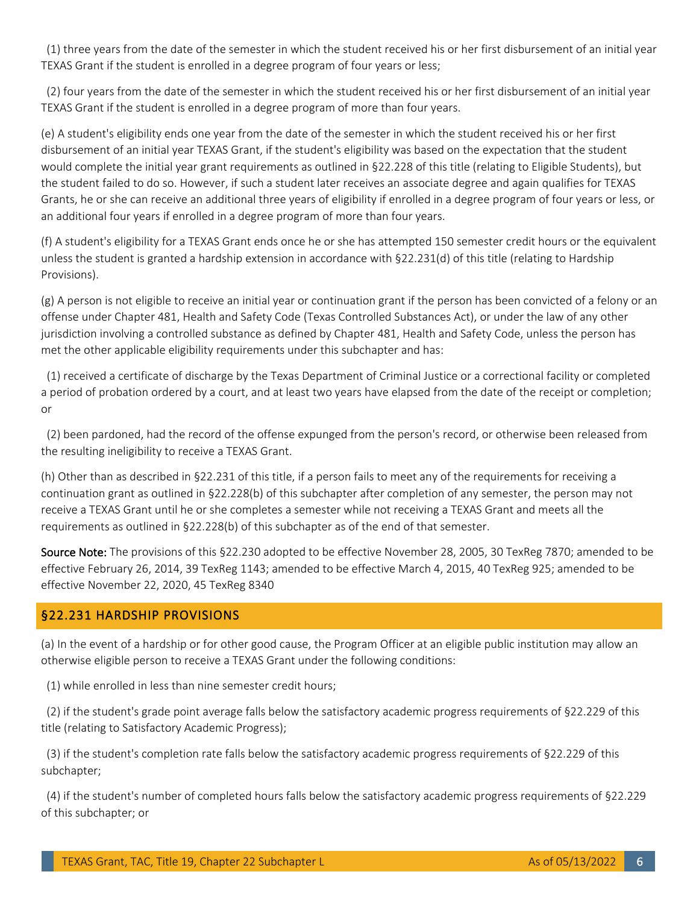(1) three years from the date of the semester in which the student received his or her first disbursement of an initial year TEXAS Grant if the student is enrolled in a degree program of four years or less;

(2) four years from the date of the semester in which the student received his or her first disbursement of an initial year TEXAS Grant if the student is enrolled in a degree program of more than four years.

(e) A student's eligibility ends one year from the date of the semester in which the student received his or her first disbursement of an initial year TEXAS Grant, if the student's eligibility was based on the expectation that the student would complete the initial year grant requirements as outlined in §22.228 of this title (relating to Eligible Students), but the student failed to do so. However, if such a student later receives an associate degree and again qualifies for TEXAS Grants, he or she can receive an additional three years of eligibility if enrolled in a degree program of four years or less, or an additional four years if enrolled in a degree program of more than four years.

(f) A student's eligibility for a TEXAS Grant ends once he or she has attempted 150 semester credit hours or the equivalent unless the student is granted a hardship extension in accordance with §22.231(d) of this title (relating to Hardship Provisions).

(g) A person is not eligible to receive an initial year or continuation grant if the person has been convicted of a felony or an offense under Chapter 481, Health and Safety Code (Texas Controlled Substances Act), or under the law of any other jurisdiction involving a controlled substance as defined by Chapter 481, Health and Safety Code, unless the person has met the other applicable eligibility requirements under this subchapter and has:

(1) received a certificate of discharge by the Texas Department of Criminal Justice or a correctional facility or completed a period of probation ordered by a court, and at least two years have elapsed from the date of the receipt or completion; or

(2) been pardoned, had the record of the offense expunged from the person's record, or otherwise been released from the resulting ineligibility to receive a TEXAS Grant.

(h) Other than as described in §22.231 of this title, if a person fails to meet any of the requirements for receiving a continuation grant as outlined in §22.228(b) of this subchapter after completion of any semester, the person may not receive a TEXAS Grant until he or she completes a semester while not receiving a TEXAS Grant and meets all the requirements as outlined in §22.228(b) of this subchapter as of the end of that semester.

Source Note: The provisions of this §22.230 adopted to be effective November 28, 2005, 30 TexReg 7870; amended to be effective February 26, 2014, 39 TexReg 1143; amended to be effective March 4, 2015, 40 TexReg 925; amended to be effective November 22, 2020, 45 TexReg 8340

#### <span id="page-5-0"></span>§22.231 HARDSHIP PROVISIONS

(a) In the event of a hardship or for other good cause, the Program Officer at an eligible public institution may allow an otherwise eligible person to receive a TEXAS Grant under the following conditions:

(1) while enrolled in less than nine semester credit hours;

(2) if the student's grade point average falls below the satisfactory academic progress requirements of §22.229 of this title (relating to Satisfactory Academic Progress);

(3) if the student's completion rate falls below the satisfactory academic progress requirements of §22.229 of this subchapter;

 (4) if the student's number of completed hours falls below the satisfactory academic progress requirements of §22.229 of this subchapter; or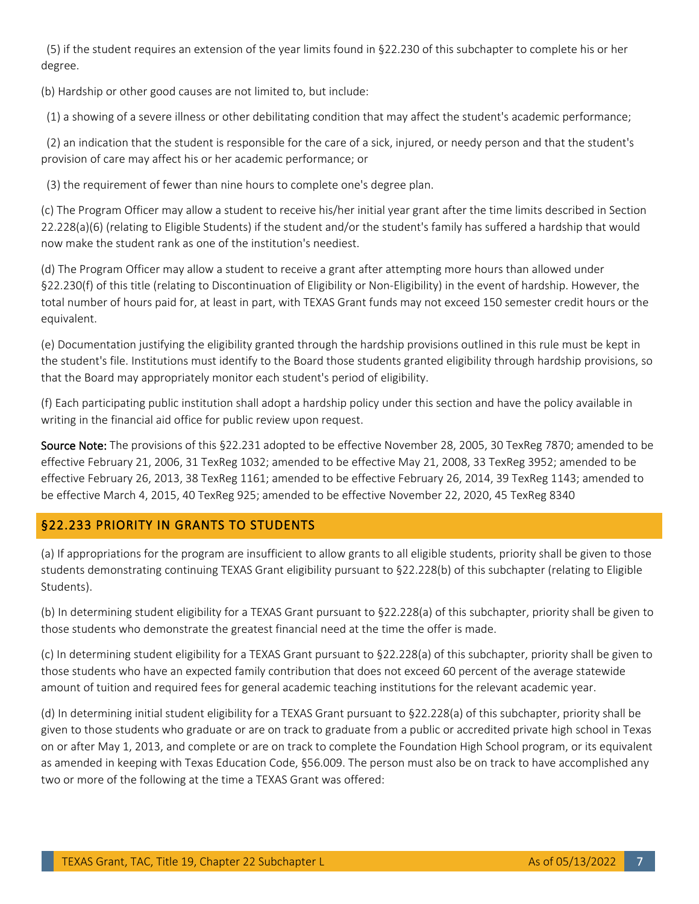(5) if the student requires an extension of the year limits found in §22.230 of this subchapter to complete his or her degree.

(b) Hardship or other good causes are not limited to, but include:

(1) a showing of a severe illness or other debilitating condition that may affect the student's academic performance;

 (2) an indication that the student is responsible for the care of a sick, injured, or needy person and that the student's provision of care may affect his or her academic performance; or

(3) the requirement of fewer than nine hours to complete one's degree plan.

(c) The Program Officer may allow a student to receive his/her initial year grant after the time limits described in Section 22.228(a)(6) (relating to Eligible Students) if the student and/or the student's family has suffered a hardship that would now make the student rank as one of the institution's neediest.

(d) The Program Officer may allow a student to receive a grant after attempting more hours than allowed under §22.230(f) of this title (relating to Discontinuation of Eligibility or Non-Eligibility) in the event of hardship. However, the total number of hours paid for, at least in part, with TEXAS Grant funds may not exceed 150 semester credit hours or the equivalent.

(e) Documentation justifying the eligibility granted through the hardship provisions outlined in this rule must be kept in the student's file. Institutions must identify to the Board those students granted eligibility through hardship provisions, so that the Board may appropriately monitor each student's period of eligibility.

(f) Each participating public institution shall adopt a hardship policy under this section and have the policy available in writing in the financial aid office for public review upon request.

Source Note: The provisions of this §22.231 adopted to be effective November 28, 2005, 30 TexReg 7870; amended to be effective February 21, 2006, 31 TexReg 1032; amended to be effective May 21, 2008, 33 TexReg 3952; amended to be effective February 26, 2013, 38 TexReg 1161; amended to be effective February 26, 2014, 39 TexReg 1143; amended to be effective March 4, 2015, 40 TexReg 925; amended to be effective November 22, 2020, 45 TexReg 8340

## <span id="page-6-0"></span>§22.233 PRIORITY IN GRANTS TO STUDENTS

(a) If appropriations for the program are insufficient to allow grants to all eligible students, priority shall be given to those students demonstrating continuing TEXAS Grant eligibility pursuant to §22.228(b) of this subchapter (relating to Eligible Students).

(b) In determining student eligibility for a TEXAS Grant pursuant to §22.228(a) of this subchapter, priority shall be given to those students who demonstrate the greatest financial need at the time the offer is made.

(c) In determining student eligibility for a TEXAS Grant pursuant to §22.228(a) of this subchapter, priority shall be given to those students who have an expected family contribution that does not exceed 60 percent of the average statewide amount of tuition and required fees for general academic teaching institutions for the relevant academic year.

(d) In determining initial student eligibility for a TEXAS Grant pursuant to §22.228(a) of this subchapter, priority shall be given to those students who graduate or are on track to graduate from a public or accredited private high school in Texas on or after May 1, 2013, and complete or are on track to complete the Foundation High School program, or its equivalent as amended in keeping with Texas Education Code, §56.009. The person must also be on track to have accomplished any two or more of the following at the time a TEXAS Grant was offered: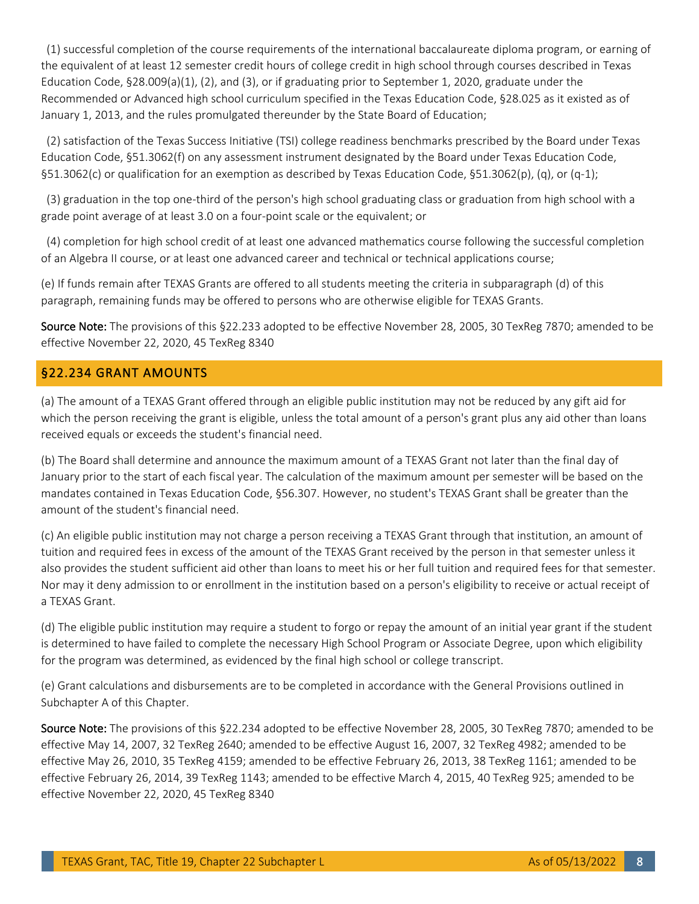(1) successful completion of the course requirements of the international baccalaureate diploma program, or earning of the equivalent of at least 12 semester credit hours of college credit in high school through courses described in Texas Education Code, §28.009(a)(1), (2), and (3), or if graduating prior to September 1, 2020, graduate under the Recommended or Advanced high school curriculum specified in the Texas Education Code, §28.025 as it existed as of January 1, 2013, and the rules promulgated thereunder by the State Board of Education;

(2) satisfaction of the Texas Success Initiative (TSI) college readiness benchmarks prescribed by the Board under Texas Education Code, §51.3062(f) on any assessment instrument designated by the Board under Texas Education Code, §51.3062(c) or qualification for an exemption as described by Texas Education Code, §51.3062(p), (q), or (q-1);

(3) graduation in the top one-third of the person's high school graduating class or graduation from high school with a grade point average of at least 3.0 on a four-point scale or the equivalent; or

(4) completion for high school credit of at least one advanced mathematics course following the successful completion of an Algebra II course, or at least one advanced career and technical or technical applications course;

(e) If funds remain after TEXAS Grants are offered to all students meeting the criteria in subparagraph (d) of this paragraph, remaining funds may be offered to persons who are otherwise eligible for TEXAS Grants.

Source Note: The provisions of this §22.233 adopted to be effective November 28, 2005, 30 TexReg 7870; amended to be effective November 22, 2020, 45 TexReg 8340

#### <span id="page-7-0"></span>§22.234 GRANT AMOUNTS

(a) The amount of a TEXAS Grant offered through an eligible public institution may not be reduced by any gift aid for which the person receiving the grant is eligible, unless the total amount of a person's grant plus any aid other than loans received equals or exceeds the student's financial need.

(b) The Board shall determine and announce the maximum amount of a TEXAS Grant not later than the final day of January prior to the start of each fiscal year. The calculation of the maximum amount per semester will be based on the mandates contained in Texas Education Code, §56.307. However, no student's TEXAS Grant shall be greater than the amount of the student's financial need.

(c) An eligible public institution may not charge a person receiving a TEXAS Grant through that institution, an amount of tuition and required fees in excess of the amount of the TEXAS Grant received by the person in that semester unless it also provides the student sufficient aid other than loans to meet his or her full tuition and required fees for that semester. Nor may it deny admission to or enrollment in the institution based on a person's eligibility to receive or actual receipt of a TEXAS Grant.

(d) The eligible public institution may require a student to forgo or repay the amount of an initial year grant if the student is determined to have failed to complete the necessary High School Program or Associate Degree, upon which eligibility for the program was determined, as evidenced by the final high school or college transcript.

(e) Grant calculations and disbursements are to be completed in accordance with the General Provisions outlined in Subchapter A of this Chapter.

Source Note: The provisions of this §22.234 adopted to be effective November 28, 2005, 30 TexReg 7870; amended to be effective May 14, 2007, 32 TexReg 2640; amended to be effective August 16, 2007, 32 TexReg 4982; amended to be effective May 26, 2010, 35 TexReg 4159; amended to be effective February 26, 2013, 38 TexReg 1161; amended to be effective February 26, 2014, 39 TexReg 1143; amended to be effective March 4, 2015, 40 TexReg 925; amended to be effective November 22, 2020, 45 TexReg 8340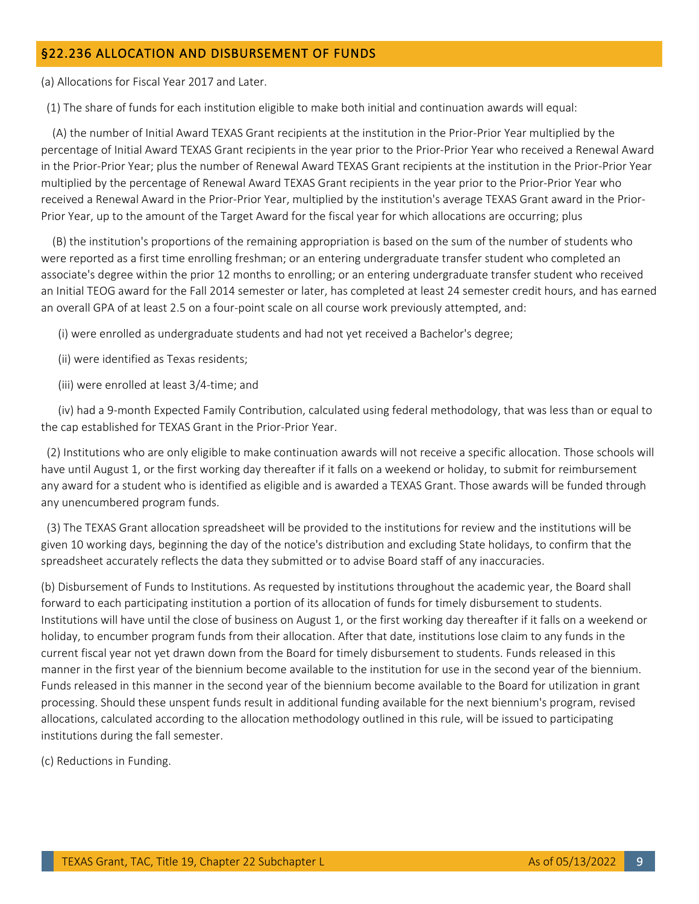#### <span id="page-8-0"></span>§22.236 ALLOCATION AND DISBURSEMENT OF FUNDS

(a) Allocations for Fiscal Year 2017 and Later.

(1) The share of funds for each institution eligible to make both initial and continuation awards will equal:

 (A) the number of Initial Award TEXAS Grant recipients at the institution in the Prior-Prior Year multiplied by the percentage of Initial Award TEXAS Grant recipients in the year prior to the Prior-Prior Year who received a Renewal Award in the Prior-Prior Year; plus the number of Renewal Award TEXAS Grant recipients at the institution in the Prior-Prior Year multiplied by the percentage of Renewal Award TEXAS Grant recipients in the year prior to the Prior-Prior Year who received a Renewal Award in the Prior-Prior Year, multiplied by the institution's average TEXAS Grant award in the Prior-Prior Year, up to the amount of the Target Award for the fiscal year for which allocations are occurring; plus

(B) the institution's proportions of the remaining appropriation is based on the sum of the number of students who were reported as a first time enrolling freshman; or an entering undergraduate transfer student who completed an associate's degree within the prior 12 months to enrolling; or an entering undergraduate transfer student who received an Initial TEOG award for the Fall 2014 semester or later, has completed at least 24 semester credit hours, and has earned an overall GPA of at least 2.5 on a four-point scale on all course work previously attempted, and:

(i) were enrolled as undergraduate students and had not yet received a Bachelor's degree;

(ii) were identified as Texas residents;

(iii) were enrolled at least 3/4-time; and

 (iv) had a 9-month Expected Family Contribution, calculated using federal methodology, that was less than or equal to the cap established for TEXAS Grant in the Prior-Prior Year.

(2) Institutions who are only eligible to make continuation awards will not receive a specific allocation. Those schools will have until August 1, or the first working day thereafter if it falls on a weekend or holiday, to submit for reimbursement any award for a student who is identified as eligible and is awarded a TEXAS Grant. Those awards will be funded through any unencumbered program funds.

(3) The TEXAS Grant allocation spreadsheet will be provided to the institutions for review and the institutions will be given 10 working days, beginning the day of the notice's distribution and excluding State holidays, to confirm that the spreadsheet accurately reflects the data they submitted or to advise Board staff of any inaccuracies.

(b) Disbursement of Funds to Institutions. As requested by institutions throughout the academic year, the Board shall forward to each participating institution a portion of its allocation of funds for timely disbursement to students. Institutions will have until the close of business on August 1, or the first working day thereafter if it falls on a weekend or holiday, to encumber program funds from their allocation. After that date, institutions lose claim to any funds in the current fiscal year not yet drawn down from the Board for timely disbursement to students. Funds released in this manner in the first year of the biennium become available to the institution for use in the second year of the biennium. Funds released in this manner in the second year of the biennium become available to the Board for utilization in grant processing. Should these unspent funds result in additional funding available for the next biennium's program, revised allocations, calculated according to the allocation methodology outlined in this rule, will be issued to participating institutions during the fall semester.

(c) Reductions in Funding.